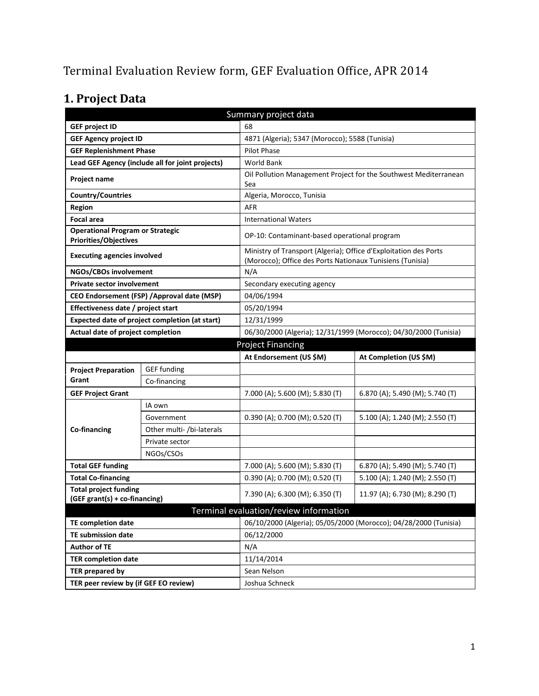# Terminal Evaluation Review form, GEF Evaluation Office, APR 2014

# **1. Project Data**

| Summary project data                                                    |                                                |                                                                                                                               |                                                                  |  |  |
|-------------------------------------------------------------------------|------------------------------------------------|-------------------------------------------------------------------------------------------------------------------------------|------------------------------------------------------------------|--|--|
| 68<br><b>GEF project ID</b>                                             |                                                |                                                                                                                               |                                                                  |  |  |
| <b>GEF Agency project ID</b>                                            |                                                | 4871 (Algeria); 5347 (Morocco); 5588 (Tunisia)                                                                                |                                                                  |  |  |
| <b>GEF Replenishment Phase</b>                                          |                                                | Pilot Phase                                                                                                                   |                                                                  |  |  |
| Lead GEF Agency (include all for joint projects)                        |                                                | <b>World Bank</b>                                                                                                             |                                                                  |  |  |
| Project name                                                            |                                                | Sea                                                                                                                           | Oil Pollution Management Project for the Southwest Mediterranean |  |  |
| <b>Country/Countries</b>                                                |                                                | Algeria, Morocco, Tunisia                                                                                                     |                                                                  |  |  |
| Region                                                                  |                                                | AFR                                                                                                                           |                                                                  |  |  |
| <b>Focal area</b>                                                       |                                                | <b>International Waters</b>                                                                                                   |                                                                  |  |  |
| <b>Operational Program or Strategic</b><br><b>Priorities/Objectives</b> |                                                | OP-10: Contaminant-based operational program                                                                                  |                                                                  |  |  |
| <b>Executing agencies involved</b>                                      |                                                | Ministry of Transport (Algeria); Office d'Exploitation des Ports<br>(Morocco); Office des Ports Nationaux Tunisiens (Tunisia) |                                                                  |  |  |
| NGOs/CBOs involvement                                                   |                                                | N/A                                                                                                                           |                                                                  |  |  |
| <b>Private sector involvement</b>                                       |                                                | Secondary executing agency                                                                                                    |                                                                  |  |  |
|                                                                         | CEO Endorsement (FSP) / Approval date (MSP)    | 04/06/1994                                                                                                                    |                                                                  |  |  |
| Effectiveness date / project start                                      |                                                | 05/20/1994                                                                                                                    |                                                                  |  |  |
|                                                                         | Expected date of project completion (at start) | 12/31/1999                                                                                                                    |                                                                  |  |  |
| Actual date of project completion                                       |                                                | 06/30/2000 (Algeria); 12/31/1999 (Morocco); 04/30/2000 (Tunisia)                                                              |                                                                  |  |  |
|                                                                         |                                                | <b>Project Financing</b>                                                                                                      |                                                                  |  |  |
|                                                                         |                                                | At Endorsement (US \$M)                                                                                                       | At Completion (US \$M)                                           |  |  |
|                                                                         |                                                |                                                                                                                               |                                                                  |  |  |
| <b>Project Preparation</b>                                              | <b>GEF</b> funding                             |                                                                                                                               |                                                                  |  |  |
| Grant                                                                   | Co-financing                                   |                                                                                                                               |                                                                  |  |  |
| <b>GEF Project Grant</b>                                                |                                                | 7.000 (A); 5.600 (M); 5.830 (T)                                                                                               | 6.870 (A); 5.490 (M); 5.740 (T)                                  |  |  |
|                                                                         | IA own                                         |                                                                                                                               |                                                                  |  |  |
|                                                                         | Government                                     | 0.390 (A); 0.700 (M); 0.520 (T)                                                                                               | 5.100 (A); 1.240 (M); 2.550 (T)                                  |  |  |
| <b>Co-financing</b>                                                     | Other multi- /bi-laterals                      |                                                                                                                               |                                                                  |  |  |
|                                                                         | Private sector                                 |                                                                                                                               |                                                                  |  |  |
|                                                                         | NGOs/CSOs                                      |                                                                                                                               |                                                                  |  |  |
| <b>Total GEF funding</b>                                                |                                                | 7.000 (A); 5.600 (M); 5.830 (T)                                                                                               | 6.870 (A); 5.490 (M); 5.740 (T)                                  |  |  |
| <b>Total Co-financing</b>                                               |                                                | $0.390$ (A); 0.700 (M); 0.520 (T)                                                                                             | 5.100 (A); 1.240 (M); 2.550 (T)                                  |  |  |
| <b>Total project funding</b>                                            |                                                |                                                                                                                               |                                                                  |  |  |
| (GEF grant(s) + co-financing)                                           |                                                | 7.390 (A); 6.300 (M); 6.350 (T)                                                                                               | 11.97 (A); 6.730 (M); 8.290 (T)                                  |  |  |
|                                                                         |                                                | Terminal evaluation/review information                                                                                        |                                                                  |  |  |
| <b>TE completion date</b>                                               |                                                |                                                                                                                               | 06/10/2000 (Algeria); 05/05/2000 (Morocco); 04/28/2000 (Tunisia) |  |  |
| TE submission date                                                      |                                                | 06/12/2000                                                                                                                    |                                                                  |  |  |
| <b>Author of TE</b>                                                     |                                                | N/A                                                                                                                           |                                                                  |  |  |
| <b>TER completion date</b>                                              |                                                | 11/14/2014                                                                                                                    |                                                                  |  |  |
| <b>TER prepared by</b>                                                  |                                                | Sean Nelson                                                                                                                   |                                                                  |  |  |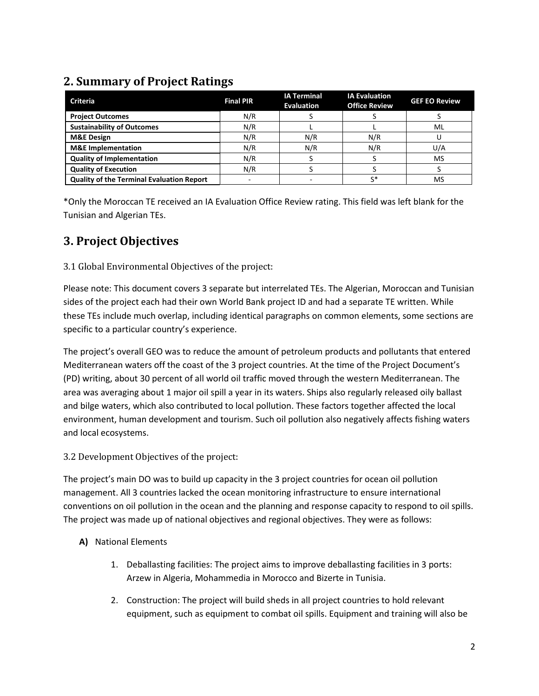## **2. Summary of Project Ratings**

| <b>Criteria</b>                                  | <b>Final PIR</b> | <b>IA Terminal</b><br><b>Evaluation</b> | <b>IA Evaluation</b><br><b>Office Review</b> | <b>GEF EO Review</b> |
|--------------------------------------------------|------------------|-----------------------------------------|----------------------------------------------|----------------------|
| <b>Project Outcomes</b>                          | N/R              |                                         |                                              |                      |
| <b>Sustainability of Outcomes</b>                | N/R              |                                         |                                              | ML                   |
| <b>M&amp;E Design</b>                            | N/R              | N/R                                     | N/R                                          |                      |
| <b>M&amp;E</b> Implementation                    | N/R              | N/R                                     | N/R                                          | U/A                  |
| <b>Quality of Implementation</b>                 | N/R              |                                         |                                              | MS                   |
| <b>Quality of Execution</b>                      | N/R              |                                         |                                              |                      |
| <b>Quality of the Terminal Evaluation Report</b> |                  |                                         | c*                                           | MS                   |

\*Only the Moroccan TE received an IA Evaluation Office Review rating. This field was left blank for the Tunisian and Algerian TEs.

## **3. Project Objectives**

## 3.1 Global Environmental Objectives of the project:

Please note: This document covers 3 separate but interrelated TEs. The Algerian, Moroccan and Tunisian sides of the project each had their own World Bank project ID and had a separate TE written. While these TEs include much overlap, including identical paragraphs on common elements, some sections are specific to a particular country's experience.

The project's overall GEO was to reduce the amount of petroleum products and pollutants that entered Mediterranean waters off the coast of the 3 project countries. At the time of the Project Document's (PD) writing, about 30 percent of all world oil traffic moved through the western Mediterranean. The area was averaging about 1 major oil spill a year in its waters. Ships also regularly released oily ballast and bilge waters, which also contributed to local pollution. These factors together affected the local environment, human development and tourism. Such oil pollution also negatively affects fishing waters and local ecosystems.

3.2 Development Objectives of the project:

The project's main DO was to build up capacity in the 3 project countries for ocean oil pollution management. All 3 countries lacked the ocean monitoring infrastructure to ensure international conventions on oil pollution in the ocean and the planning and response capacity to respond to oil spills. The project was made up of national objectives and regional objectives. They were as follows:

- **A)** National Elements
	- 1. Deballasting facilities: The project aims to improve deballasting facilities in 3 ports: Arzew in Algeria, Mohammedia in Morocco and Bizerte in Tunisia.
	- 2. Construction: The project will build sheds in all project countries to hold relevant equipment, such as equipment to combat oil spills. Equipment and training will also be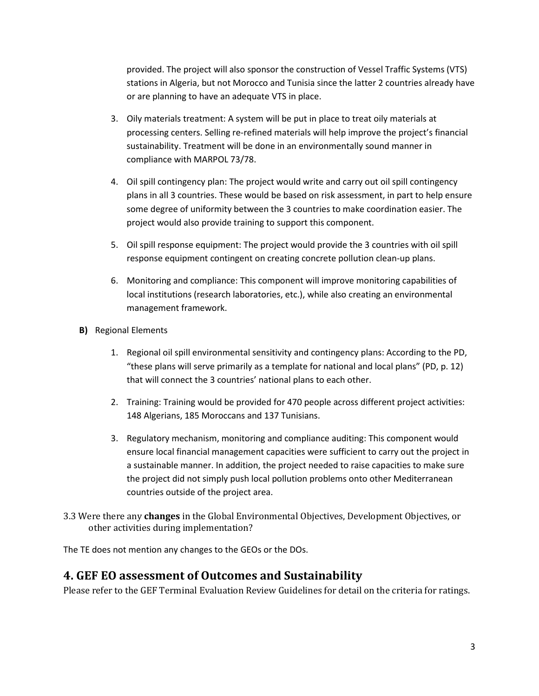provided. The project will also sponsor the construction of Vessel Traffic Systems (VTS) stations in Algeria, but not Morocco and Tunisia since the latter 2 countries already have or are planning to have an adequate VTS in place.

- 3. Oily materials treatment: A system will be put in place to treat oily materials at processing centers. Selling re-refined materials will help improve the project's financial sustainability. Treatment will be done in an environmentally sound manner in compliance with MARPOL 73/78.
- 4. Oil spill contingency plan: The project would write and carry out oil spill contingency plans in all 3 countries. These would be based on risk assessment, in part to help ensure some degree of uniformity between the 3 countries to make coordination easier. The project would also provide training to support this component.
- 5. Oil spill response equipment: The project would provide the 3 countries with oil spill response equipment contingent on creating concrete pollution clean-up plans.
- 6. Monitoring and compliance: This component will improve monitoring capabilities of local institutions (research laboratories, etc.), while also creating an environmental management framework.
- **B)** Regional Elements
	- 1. Regional oil spill environmental sensitivity and contingency plans: According to the PD, "these plans will serve primarily as a template for national and local plans" (PD, p. 12) that will connect the 3 countries' national plans to each other.
	- 2. Training: Training would be provided for 470 people across different project activities: 148 Algerians, 185 Moroccans and 137 Tunisians.
	- 3. Regulatory mechanism, monitoring and compliance auditing: This component would ensure local financial management capacities were sufficient to carry out the project in a sustainable manner. In addition, the project needed to raise capacities to make sure the project did not simply push local pollution problems onto other Mediterranean countries outside of the project area.
- 3.3 Were there any **changes** in the Global Environmental Objectives, Development Objectives, or other activities during implementation?

The TE does not mention any changes to the GEOs or the DOs.

## **4. GEF EO assessment of Outcomes and Sustainability**

Please refer to the GEF Terminal Evaluation Review Guidelines for detail on the criteria for ratings.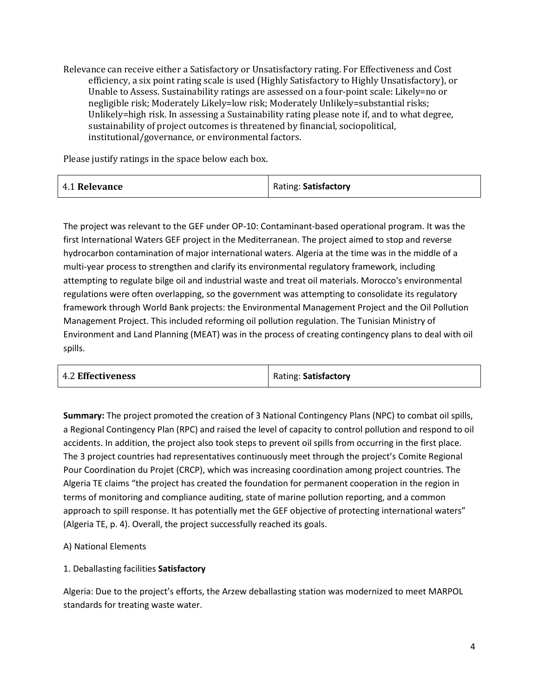Relevance can receive either a Satisfactory or Unsatisfactory rating. For Effectiveness and Cost efficiency, a six point rating scale is used (Highly Satisfactory to Highly Unsatisfactory), or Unable to Assess. Sustainability ratings are assessed on a four-point scale: Likely=no or negligible risk; Moderately Likely=low risk; Moderately Unlikely=substantial risks; Unlikely=high risk. In assessing a Sustainability rating please note if, and to what degree, sustainability of project outcomes is threatened by financial, sociopolitical, institutional/governance, or environmental factors.

Please justify ratings in the space below each box.

| 4.1 Relevance | Rating: Satisfactory |
|---------------|----------------------|
|               |                      |

The project was relevant to the GEF under OP-10: Contaminant-based operational program. It was the first International Waters GEF project in the Mediterranean. The project aimed to stop and reverse hydrocarbon contamination of major international waters. Algeria at the time was in the middle of a multi-year process to strengthen and clarify its environmental regulatory framework, including attempting to regulate bilge oil and industrial waste and treat oil materials. Morocco's environmental regulations were often overlapping, so the government was attempting to consolidate its regulatory framework through World Bank projects: the Environmental Management Project and the Oil Pollution Management Project. This included reforming oil pollution regulation. The Tunisian Ministry of Environment and Land Planning (MEAT) was in the process of creating contingency plans to deal with oil spills.

| <b>4.2 Effectiveness</b> | Rating: Satisfactory |
|--------------------------|----------------------|
|--------------------------|----------------------|

**Summary:** The project promoted the creation of 3 National Contingency Plans (NPC) to combat oil spills, a Regional Contingency Plan (RPC) and raised the level of capacity to control pollution and respond to oil accidents. In addition, the project also took steps to prevent oil spills from occurring in the first place. The 3 project countries had representatives continuously meet through the project's Comite Regional Pour Coordination du Projet (CRCP), which was increasing coordination among project countries. The Algeria TE claims "the project has created the foundation for permanent cooperation in the region in terms of monitoring and compliance auditing, state of marine pollution reporting, and a common approach to spill response. It has potentially met the GEF objective of protecting international waters" (Algeria TE, p. 4). Overall, the project successfully reached its goals.

### A) National Elements

### 1. Deballasting facilities **Satisfactory**

Algeria: Due to the project's efforts, the Arzew deballasting station was modernized to meet MARPOL standards for treating waste water.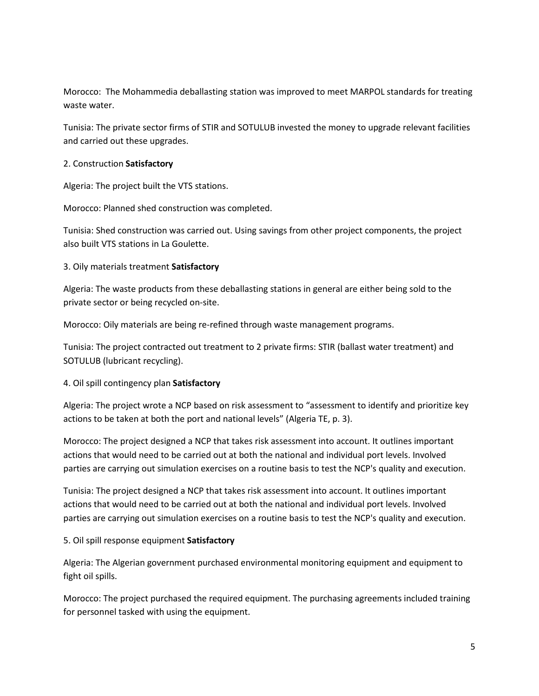Morocco: The Mohammedia deballasting station was improved to meet MARPOL standards for treating waste water.

Tunisia: The private sector firms of STIR and SOTULUB invested the money to upgrade relevant facilities and carried out these upgrades.

#### 2. Construction **Satisfactory**

Algeria: The project built the VTS stations.

Morocco: Planned shed construction was completed.

Tunisia: Shed construction was carried out. Using savings from other project components, the project also built VTS stations in La Goulette.

3. Oily materials treatment **Satisfactory**

Algeria: The waste products from these deballasting stations in general are either being sold to the private sector or being recycled on-site.

Morocco: Oily materials are being re-refined through waste management programs.

Tunisia: The project contracted out treatment to 2 private firms: STIR (ballast water treatment) and SOTULUB (lubricant recycling).

### 4. Oil spill contingency plan **Satisfactory**

Algeria: The project wrote a NCP based on risk assessment to "assessment to identify and prioritize key actions to be taken at both the port and national levels" (Algeria TE, p. 3).

Morocco: The project designed a NCP that takes risk assessment into account. It outlines important actions that would need to be carried out at both the national and individual port levels. Involved parties are carrying out simulation exercises on a routine basis to test the NCP's quality and execution.

Tunisia: The project designed a NCP that takes risk assessment into account. It outlines important actions that would need to be carried out at both the national and individual port levels. Involved parties are carrying out simulation exercises on a routine basis to test the NCP's quality and execution.

### 5. Oil spill response equipment **Satisfactory**

Algeria: The Algerian government purchased environmental monitoring equipment and equipment to fight oil spills.

Morocco: The project purchased the required equipment. The purchasing agreements included training for personnel tasked with using the equipment.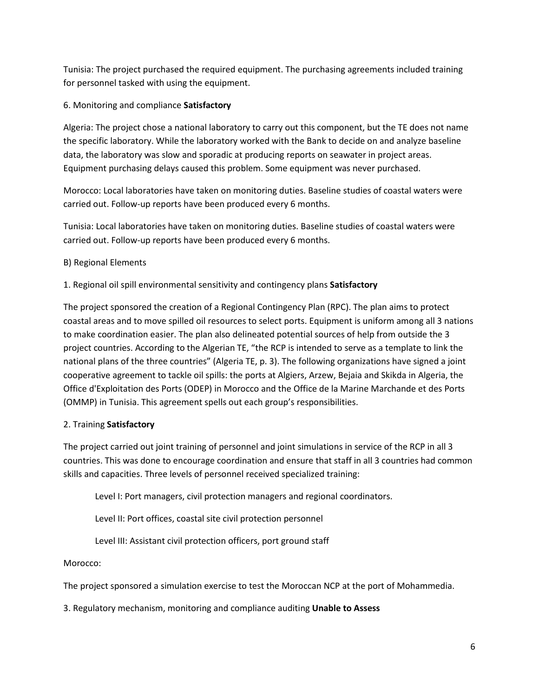Tunisia: The project purchased the required equipment. The purchasing agreements included training for personnel tasked with using the equipment.

### 6. Monitoring and compliance **Satisfactory**

Algeria: The project chose a national laboratory to carry out this component, but the TE does not name the specific laboratory. While the laboratory worked with the Bank to decide on and analyze baseline data, the laboratory was slow and sporadic at producing reports on seawater in project areas. Equipment purchasing delays caused this problem. Some equipment was never purchased.

Morocco: Local laboratories have taken on monitoring duties. Baseline studies of coastal waters were carried out. Follow-up reports have been produced every 6 months.

Tunisia: Local laboratories have taken on monitoring duties. Baseline studies of coastal waters were carried out. Follow-up reports have been produced every 6 months.

### B) Regional Elements

### 1. Regional oil spill environmental sensitivity and contingency plans **Satisfactory**

The project sponsored the creation of a Regional Contingency Plan (RPC). The plan aims to protect coastal areas and to move spilled oil resources to select ports. Equipment is uniform among all 3 nations to make coordination easier. The plan also delineated potential sources of help from outside the 3 project countries. According to the Algerian TE, "the RCP is intended to serve as a template to link the national plans of the three countries" (Algeria TE, p. 3). The following organizations have signed a joint cooperative agreement to tackle oil spills: the ports at Algiers, Arzew, Bejaia and Skikda in Algeria, the Office d'Exploitation des Ports (ODEP) in Morocco and the Office de la Marine Marchande et des Ports (OMMP) in Tunisia. This agreement spells out each group's responsibilities.

### 2. Training **Satisfactory**

The project carried out joint training of personnel and joint simulations in service of the RCP in all 3 countries. This was done to encourage coordination and ensure that staff in all 3 countries had common skills and capacities. Three levels of personnel received specialized training:

Level I: Port managers, civil protection managers and regional coordinators.

Level II: Port offices, coastal site civil protection personnel

Level III: Assistant civil protection officers, port ground staff

Morocco:

The project sponsored a simulation exercise to test the Moroccan NCP at the port of Mohammedia.

3. Regulatory mechanism, monitoring and compliance auditing **Unable to Assess**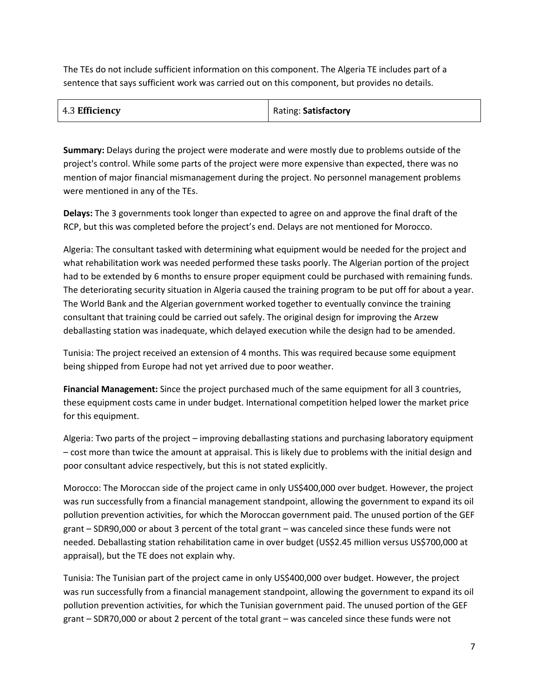The TEs do not include sufficient information on this component. The Algeria TE includes part of a sentence that says sufficient work was carried out on this component, but provides no details.

| 4.3 Efficiency | Rating: Satisfactory |
|----------------|----------------------|
|----------------|----------------------|

**Summary:** Delays during the project were moderate and were mostly due to problems outside of the project's control. While some parts of the project were more expensive than expected, there was no mention of major financial mismanagement during the project. No personnel management problems were mentioned in any of the TEs.

**Delays:** The 3 governments took longer than expected to agree on and approve the final draft of the RCP, but this was completed before the project's end. Delays are not mentioned for Morocco.

Algeria: The consultant tasked with determining what equipment would be needed for the project and what rehabilitation work was needed performed these tasks poorly. The Algerian portion of the project had to be extended by 6 months to ensure proper equipment could be purchased with remaining funds. The deteriorating security situation in Algeria caused the training program to be put off for about a year. The World Bank and the Algerian government worked together to eventually convince the training consultant that training could be carried out safely. The original design for improving the Arzew deballasting station was inadequate, which delayed execution while the design had to be amended.

Tunisia: The project received an extension of 4 months. This was required because some equipment being shipped from Europe had not yet arrived due to poor weather.

**Financial Management:** Since the project purchased much of the same equipment for all 3 countries, these equipment costs came in under budget. International competition helped lower the market price for this equipment.

Algeria: Two parts of the project – improving deballasting stations and purchasing laboratory equipment – cost more than twice the amount at appraisal. This is likely due to problems with the initial design and poor consultant advice respectively, but this is not stated explicitly.

Morocco: The Moroccan side of the project came in only US\$400,000 over budget. However, the project was run successfully from a financial management standpoint, allowing the government to expand its oil pollution prevention activities, for which the Moroccan government paid. The unused portion of the GEF grant – SDR90,000 or about 3 percent of the total grant – was canceled since these funds were not needed. Deballasting station rehabilitation came in over budget (US\$2.45 million versus US\$700,000 at appraisal), but the TE does not explain why.

Tunisia: The Tunisian part of the project came in only US\$400,000 over budget. However, the project was run successfully from a financial management standpoint, allowing the government to expand its oil pollution prevention activities, for which the Tunisian government paid. The unused portion of the GEF grant – SDR70,000 or about 2 percent of the total grant – was canceled since these funds were not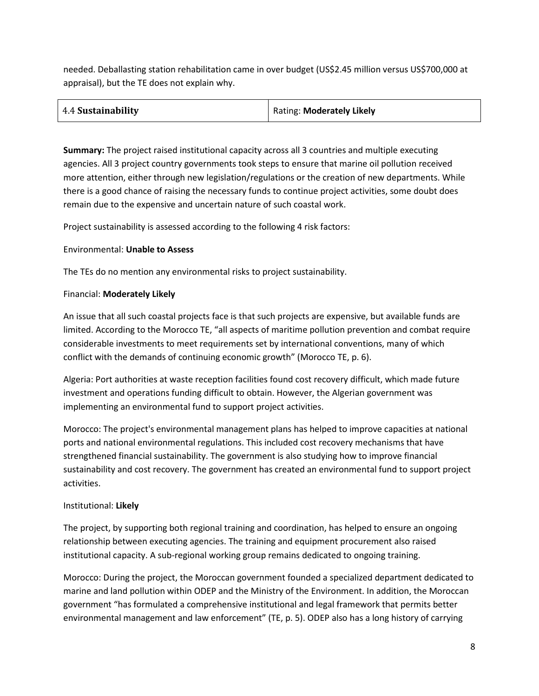needed. Deballasting station rehabilitation came in over budget (US\$2.45 million versus US\$700,000 at appraisal), but the TE does not explain why.

| 4.4 Sustainability<br>Rating: Moderately Likely |  |
|-------------------------------------------------|--|
|-------------------------------------------------|--|

**Summary:** The project raised institutional capacity across all 3 countries and multiple executing agencies. All 3 project country governments took steps to ensure that marine oil pollution received more attention, either through new legislation/regulations or the creation of new departments. While there is a good chance of raising the necessary funds to continue project activities, some doubt does remain due to the expensive and uncertain nature of such coastal work.

Project sustainability is assessed according to the following 4 risk factors:

#### Environmental: **Unable to Assess**

The TEs do no mention any environmental risks to project sustainability.

#### Financial: **Moderately Likely**

An issue that all such coastal projects face is that such projects are expensive, but available funds are limited. According to the Morocco TE, "all aspects of maritime pollution prevention and combat require considerable investments to meet requirements set by international conventions, many of which conflict with the demands of continuing economic growth" (Morocco TE, p. 6).

Algeria: Port authorities at waste reception facilities found cost recovery difficult, which made future investment and operations funding difficult to obtain. However, the Algerian government was implementing an environmental fund to support project activities.

Morocco: The project's environmental management plans has helped to improve capacities at national ports and national environmental regulations. This included cost recovery mechanisms that have strengthened financial sustainability. The government is also studying how to improve financial sustainability and cost recovery. The government has created an environmental fund to support project activities.

#### Institutional: **Likely**

The project, by supporting both regional training and coordination, has helped to ensure an ongoing relationship between executing agencies. The training and equipment procurement also raised institutional capacity. A sub-regional working group remains dedicated to ongoing training.

Morocco: During the project, the Moroccan government founded a specialized department dedicated to marine and land pollution within ODEP and the Ministry of the Environment. In addition, the Moroccan government "has formulated a comprehensive institutional and legal framework that permits better environmental management and law enforcement" (TE, p. 5). ODEP also has a long history of carrying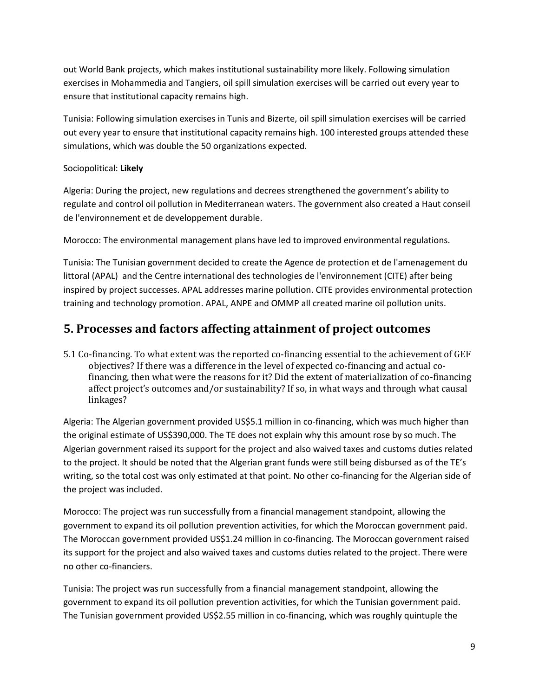out World Bank projects, which makes institutional sustainability more likely. Following simulation exercises in Mohammedia and Tangiers, oil spill simulation exercises will be carried out every year to ensure that institutional capacity remains high.

Tunisia: Following simulation exercises in Tunis and Bizerte, oil spill simulation exercises will be carried out every year to ensure that institutional capacity remains high. 100 interested groups attended these simulations, which was double the 50 organizations expected.

### Sociopolitical: **Likely**

Algeria: During the project, new regulations and decrees strengthened the government's ability to regulate and control oil pollution in Mediterranean waters. The government also created a Haut conseil de l'environnement et de developpement durable.

Morocco: The environmental management plans have led to improved environmental regulations.

Tunisia: The Tunisian government decided to create the Agence de protection et de l'amenagement du littoral (APAL) and the Centre international des technologies de l'environnement (CITE) after being inspired by project successes. APAL addresses marine pollution. CITE provides environmental protection training and technology promotion. APAL, ANPE and OMMP all created marine oil pollution units.

## **5. Processes and factors affecting attainment of project outcomes**

5.1 Co-financing. To what extent was the reported co-financing essential to the achievement of GEF objectives? If there was a difference in the level of expected co-financing and actual cofinancing, then what were the reasons for it? Did the extent of materialization of co-financing affect project's outcomes and/or sustainability? If so, in what ways and through what causal linkages?

Algeria: The Algerian government provided US\$5.1 million in co-financing, which was much higher than the original estimate of US\$390,000. The TE does not explain why this amount rose by so much. The Algerian government raised its support for the project and also waived taxes and customs duties related to the project. It should be noted that the Algerian grant funds were still being disbursed as of the TE's writing, so the total cost was only estimated at that point. No other co-financing for the Algerian side of the project was included.

Morocco: The project was run successfully from a financial management standpoint, allowing the government to expand its oil pollution prevention activities, for which the Moroccan government paid. The Moroccan government provided US\$1.24 million in co-financing. The Moroccan government raised its support for the project and also waived taxes and customs duties related to the project. There were no other co-financiers.

Tunisia: The project was run successfully from a financial management standpoint, allowing the government to expand its oil pollution prevention activities, for which the Tunisian government paid. The Tunisian government provided US\$2.55 million in co-financing, which was roughly quintuple the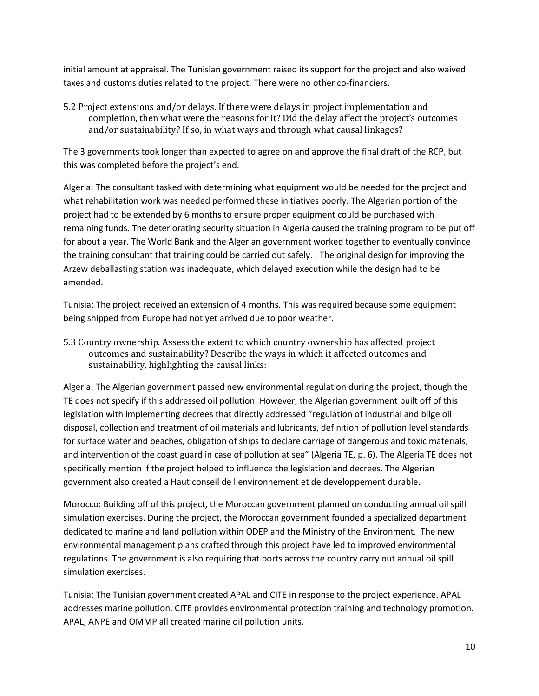initial amount at appraisal. The Tunisian government raised its support for the project and also waived taxes and customs duties related to the project. There were no other co-financiers.

5.2 Project extensions and/or delays. If there were delays in project implementation and completion, then what were the reasons for it? Did the delay affect the project's outcomes and/or sustainability? If so, in what ways and through what causal linkages?

The 3 governments took longer than expected to agree on and approve the final draft of the RCP, but this was completed before the project's end.

Algeria: The consultant tasked with determining what equipment would be needed for the project and what rehabilitation work was needed performed these initiatives poorly. The Algerian portion of the project had to be extended by 6 months to ensure proper equipment could be purchased with remaining funds. The deteriorating security situation in Algeria caused the training program to be put off for about a year. The World Bank and the Algerian government worked together to eventually convince the training consultant that training could be carried out safely. . The original design for improving the Arzew deballasting station was inadequate, which delayed execution while the design had to be amended.

Tunisia: The project received an extension of 4 months. This was required because some equipment being shipped from Europe had not yet arrived due to poor weather.

5.3 Country ownership. Assess the extent to which country ownership has affected project outcomes and sustainability? Describe the ways in which it affected outcomes and sustainability, highlighting the causal links:

Algeria: The Algerian government passed new environmental regulation during the project, though the TE does not specify if this addressed oil pollution. However, the Algerian government built off of this legislation with implementing decrees that directly addressed "regulation of industrial and bilge oil disposal, collection and treatment of oil materials and lubricants, definition of pollution level standards for surface water and beaches, obligation of ships to declare carriage of dangerous and toxic materials, and intervention of the coast guard in case of pollution at sea" (Algeria TE, p. 6). The Algeria TE does not specifically mention if the project helped to influence the legislation and decrees. The Algerian government also created a Haut conseil de l'environnement et de developpement durable.

Morocco: Building off of this project, the Moroccan government planned on conducting annual oil spill simulation exercises. During the project, the Moroccan government founded a specialized department dedicated to marine and land pollution within ODEP and the Ministry of the Environment. The new environmental management plans crafted through this project have led to improved environmental regulations. The government is also requiring that ports across the country carry out annual oil spill simulation exercises.

Tunisia: The Tunisian government created APAL and CITE in response to the project experience. APAL addresses marine pollution. CITE provides environmental protection training and technology promotion. APAL, ANPE and OMMP all created marine oil pollution units.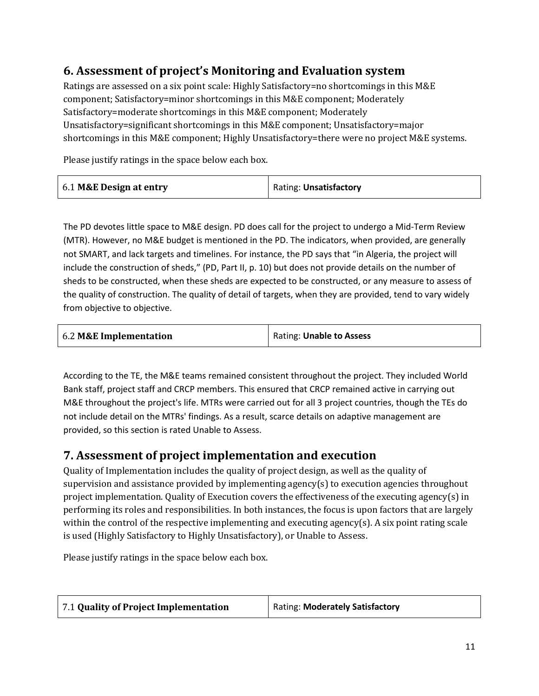## **6. Assessment of project's Monitoring and Evaluation system**

Ratings are assessed on a six point scale: Highly Satisfactory=no shortcomings in this M&E component; Satisfactory=minor shortcomings in this M&E component; Moderately Satisfactory=moderate shortcomings in this M&E component; Moderately Unsatisfactory=significant shortcomings in this M&E component; Unsatisfactory=major shortcomings in this M&E component; Highly Unsatisfactory=there were no project M&E systems.

Please justify ratings in the space below each box.

| 6.1 M&E Design at entry | Rating: Unsatisfactory |
|-------------------------|------------------------|
|                         |                        |

The PD devotes little space to M&E design. PD does call for the project to undergo a Mid-Term Review (MTR). However, no M&E budget is mentioned in the PD. The indicators, when provided, are generally not SMART, and lack targets and timelines. For instance, the PD says that "in Algeria, the project will include the construction of sheds," (PD, Part II, p. 10) but does not provide details on the number of sheds to be constructed, when these sheds are expected to be constructed, or any measure to assess of the quality of construction. The quality of detail of targets, when they are provided, tend to vary widely from objective to objective.

| 6.2 M&E Implementation | Rating: Unable to Assess |
|------------------------|--------------------------|
|                        |                          |

According to the TE, the M&E teams remained consistent throughout the project. They included World Bank staff, project staff and CRCP members. This ensured that CRCP remained active in carrying out M&E throughout the project's life. MTRs were carried out for all 3 project countries, though the TEs do not include detail on the MTRs' findings. As a result, scarce details on adaptive management are provided, so this section is rated Unable to Assess.

## **7. Assessment of project implementation and execution**

Quality of Implementation includes the quality of project design, as well as the quality of supervision and assistance provided by implementing agency(s) to execution agencies throughout project implementation. Quality of Execution covers the effectiveness of the executing agency(s) in performing its roles and responsibilities. In both instances, the focus is upon factors that are largely within the control of the respective implementing and executing agency(s). A six point rating scale is used (Highly Satisfactory to Highly Unsatisfactory), or Unable to Assess.

Please justify ratings in the space below each box.

| 7.1 Quality of Project Implementation | Rating: Moderately Satisfactory |
|---------------------------------------|---------------------------------|
|                                       |                                 |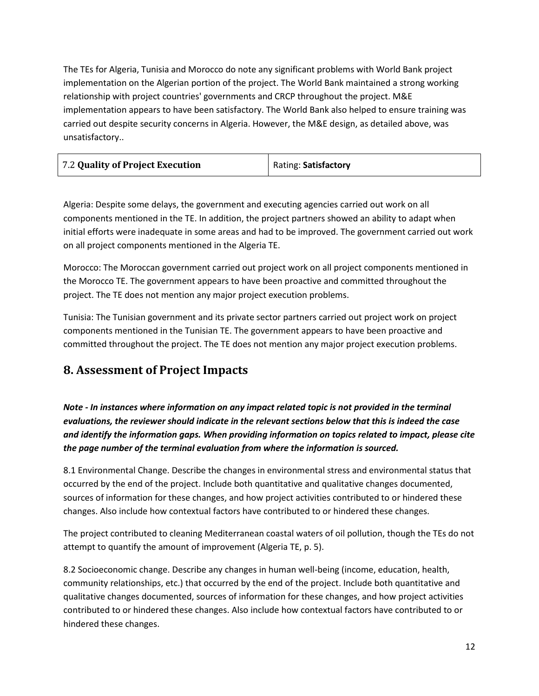The TEs for Algeria, Tunisia and Morocco do note any significant problems with World Bank project implementation on the Algerian portion of the project. The World Bank maintained a strong working relationship with project countries' governments and CRCP throughout the project. M&E implementation appears to have been satisfactory. The World Bank also helped to ensure training was carried out despite security concerns in Algeria. However, the M&E design, as detailed above, was unsatisfactory..

Algeria: Despite some delays, the government and executing agencies carried out work on all components mentioned in the TE. In addition, the project partners showed an ability to adapt when initial efforts were inadequate in some areas and had to be improved. The government carried out work on all project components mentioned in the Algeria TE.

Morocco: The Moroccan government carried out project work on all project components mentioned in the Morocco TE. The government appears to have been proactive and committed throughout the project. The TE does not mention any major project execution problems.

Tunisia: The Tunisian government and its private sector partners carried out project work on project components mentioned in the Tunisian TE. The government appears to have been proactive and committed throughout the project. The TE does not mention any major project execution problems.

## **8. Assessment of Project Impacts**

*Note - In instances where information on any impact related topic is not provided in the terminal evaluations, the reviewer should indicate in the relevant sections below that this is indeed the case and identify the information gaps. When providing information on topics related to impact, please cite the page number of the terminal evaluation from where the information is sourced.*

8.1 Environmental Change. Describe the changes in environmental stress and environmental status that occurred by the end of the project. Include both quantitative and qualitative changes documented, sources of information for these changes, and how project activities contributed to or hindered these changes. Also include how contextual factors have contributed to or hindered these changes.

The project contributed to cleaning Mediterranean coastal waters of oil pollution, though the TEs do not attempt to quantify the amount of improvement (Algeria TE, p. 5).

8.2 Socioeconomic change. Describe any changes in human well-being (income, education, health, community relationships, etc.) that occurred by the end of the project. Include both quantitative and qualitative changes documented, sources of information for these changes, and how project activities contributed to or hindered these changes. Also include how contextual factors have contributed to or hindered these changes.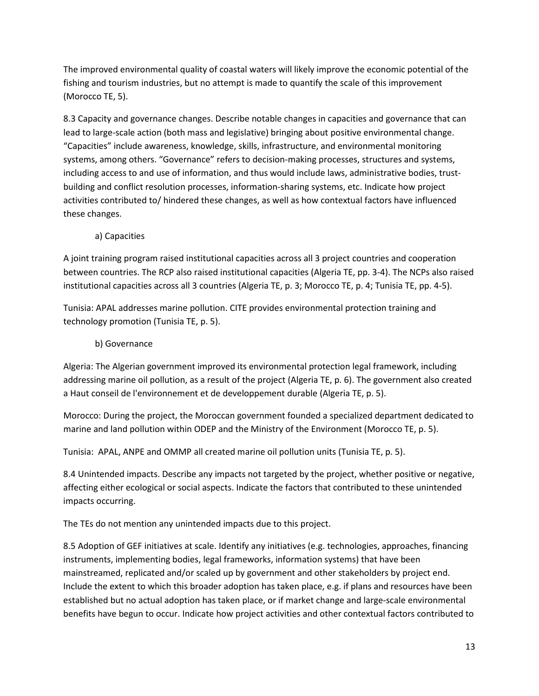The improved environmental quality of coastal waters will likely improve the economic potential of the fishing and tourism industries, but no attempt is made to quantify the scale of this improvement (Morocco TE, 5).

8.3 Capacity and governance changes. Describe notable changes in capacities and governance that can lead to large-scale action (both mass and legislative) bringing about positive environmental change. "Capacities" include awareness, knowledge, skills, infrastructure, and environmental monitoring systems, among others. "Governance" refers to decision-making processes, structures and systems, including access to and use of information, and thus would include laws, administrative bodies, trustbuilding and conflict resolution processes, information-sharing systems, etc. Indicate how project activities contributed to/ hindered these changes, as well as how contextual factors have influenced these changes.

## a) Capacities

A joint training program raised institutional capacities across all 3 project countries and cooperation between countries. The RCP also raised institutional capacities (Algeria TE, pp. 3-4). The NCPs also raised institutional capacities across all 3 countries (Algeria TE, p. 3; Morocco TE, p. 4; Tunisia TE, pp. 4-5).

Tunisia: APAL addresses marine pollution. CITE provides environmental protection training and technology promotion (Tunisia TE, p. 5).

### b) Governance

Algeria: The Algerian government improved its environmental protection legal framework, including addressing marine oil pollution, as a result of the project (Algeria TE, p. 6). The government also created a Haut conseil de l'environnement et de developpement durable (Algeria TE, p. 5).

Morocco: During the project, the Moroccan government founded a specialized department dedicated to marine and land pollution within ODEP and the Ministry of the Environment (Morocco TE, p. 5).

Tunisia: APAL, ANPE and OMMP all created marine oil pollution units (Tunisia TE, p. 5).

8.4 Unintended impacts. Describe any impacts not targeted by the project, whether positive or negative, affecting either ecological or social aspects. Indicate the factors that contributed to these unintended impacts occurring.

The TEs do not mention any unintended impacts due to this project.

8.5 Adoption of GEF initiatives at scale. Identify any initiatives (e.g. technologies, approaches, financing instruments, implementing bodies, legal frameworks, information systems) that have been mainstreamed, replicated and/or scaled up by government and other stakeholders by project end. Include the extent to which this broader adoption has taken place, e.g. if plans and resources have been established but no actual adoption has taken place, or if market change and large-scale environmental benefits have begun to occur. Indicate how project activities and other contextual factors contributed to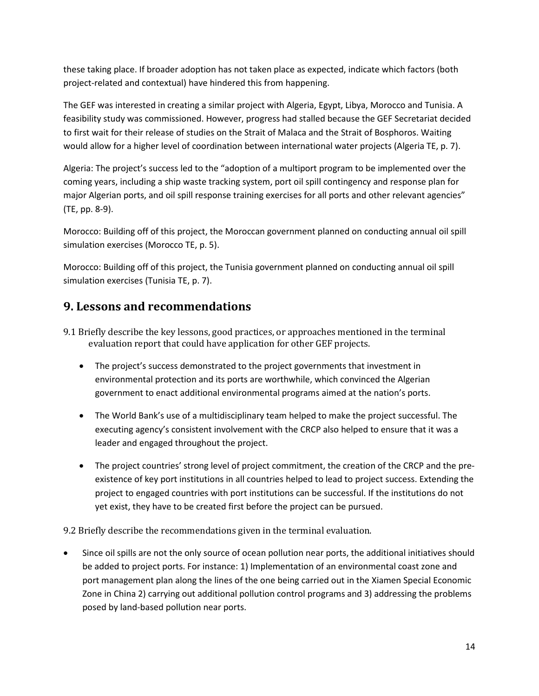these taking place. If broader adoption has not taken place as expected, indicate which factors (both project-related and contextual) have hindered this from happening.

The GEF was interested in creating a similar project with Algeria, Egypt, Libya, Morocco and Tunisia. A feasibility study was commissioned. However, progress had stalled because the GEF Secretariat decided to first wait for their release of studies on the Strait of Malaca and the Strait of Bosphoros. Waiting would allow for a higher level of coordination between international water projects (Algeria TE, p. 7).

Algeria: The project's success led to the "adoption of a multiport program to be implemented over the coming years, including a ship waste tracking system, port oil spill contingency and response plan for major Algerian ports, and oil spill response training exercises for all ports and other relevant agencies" (TE, pp. 8-9).

Morocco: Building off of this project, the Moroccan government planned on conducting annual oil spill simulation exercises (Morocco TE, p. 5).

Morocco: Building off of this project, the Tunisia government planned on conducting annual oil spill simulation exercises (Tunisia TE, p. 7).

## **9. Lessons and recommendations**

- 9.1 Briefly describe the key lessons, good practices, or approaches mentioned in the terminal evaluation report that could have application for other GEF projects.
	- The project's success demonstrated to the project governments that investment in environmental protection and its ports are worthwhile, which convinced the Algerian government to enact additional environmental programs aimed at the nation's ports.
	- The World Bank's use of a multidisciplinary team helped to make the project successful. The executing agency's consistent involvement with the CRCP also helped to ensure that it was a leader and engaged throughout the project.
	- The project countries' strong level of project commitment, the creation of the CRCP and the preexistence of key port institutions in all countries helped to lead to project success. Extending the project to engaged countries with port institutions can be successful. If the institutions do not yet exist, they have to be created first before the project can be pursued.

9.2 Briefly describe the recommendations given in the terminal evaluation.

Since oil spills are not the only source of ocean pollution near ports, the additional initiatives should be added to project ports. For instance: 1) Implementation of an environmental coast zone and port management plan along the lines of the one being carried out in the Xiamen Special Economic Zone in China 2) carrying out additional pollution control programs and 3) addressing the problems posed by land-based pollution near ports.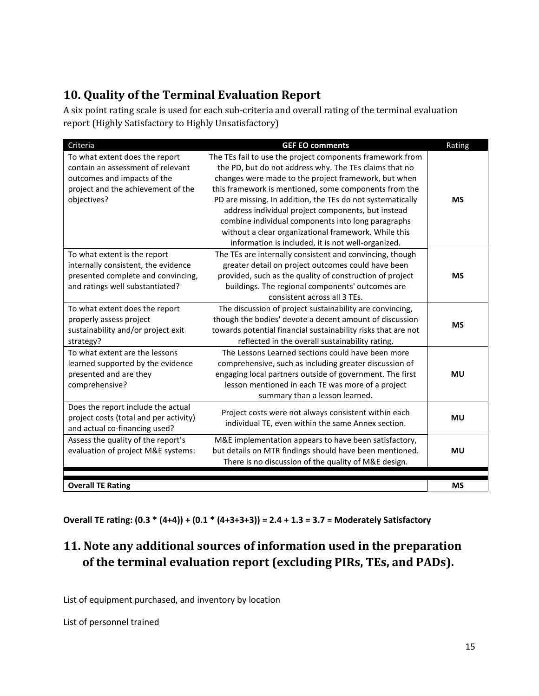## **10. Quality of the Terminal Evaluation Report**

A six point rating scale is used for each sub-criteria and overall rating of the terminal evaluation report (Highly Satisfactory to Highly Unsatisfactory)

| Criteria                                                                                                                                                | <b>GEF EO comments</b>                                                                                                                                                                                                                                                                                                                                                                                                                                                                                                       | Rating    |
|---------------------------------------------------------------------------------------------------------------------------------------------------------|------------------------------------------------------------------------------------------------------------------------------------------------------------------------------------------------------------------------------------------------------------------------------------------------------------------------------------------------------------------------------------------------------------------------------------------------------------------------------------------------------------------------------|-----------|
| To what extent does the report<br>contain an assessment of relevant<br>outcomes and impacts of the<br>project and the achievement of the<br>objectives? | The TEs fail to use the project components framework from<br>the PD, but do not address why. The TEs claims that no<br>changes were made to the project framework, but when<br>this framework is mentioned, some components from the<br>PD are missing. In addition, the TEs do not systematically<br>address individual project components, but instead<br>combine individual components into long paragraphs<br>without a clear organizational framework. While this<br>information is included, it is not well-organized. | <b>MS</b> |
| To what extent is the report<br>internally consistent, the evidence<br>presented complete and convincing,<br>and ratings well substantiated?            | The TEs are internally consistent and convincing, though<br>greater detail on project outcomes could have been<br>provided, such as the quality of construction of project<br>buildings. The regional components' outcomes are<br>consistent across all 3 TEs.                                                                                                                                                                                                                                                               | <b>MS</b> |
| To what extent does the report<br>properly assess project<br>sustainability and/or project exit<br>strategy?                                            | The discussion of project sustainability are convincing,<br>though the bodies' devote a decent amount of discussion<br>towards potential financial sustainability risks that are not<br>reflected in the overall sustainability rating.                                                                                                                                                                                                                                                                                      | <b>MS</b> |
| To what extent are the lessons<br>learned supported by the evidence<br>presented and are they<br>comprehensive?                                         | The Lessons Learned sections could have been more<br>comprehensive, such as including greater discussion of<br>engaging local partners outside of government. The first<br>lesson mentioned in each TE was more of a project<br>summary than a lesson learned.                                                                                                                                                                                                                                                               | <b>MU</b> |
| Does the report include the actual<br>project costs (total and per activity)<br>and actual co-financing used?                                           | Project costs were not always consistent within each<br>individual TE, even within the same Annex section.                                                                                                                                                                                                                                                                                                                                                                                                                   | <b>MU</b> |
| Assess the quality of the report's<br>evaluation of project M&E systems:                                                                                | M&E implementation appears to have been satisfactory,<br>but details on MTR findings should have been mentioned.<br>There is no discussion of the quality of M&E design.                                                                                                                                                                                                                                                                                                                                                     | <b>MU</b> |
| <b>Overall TE Rating</b>                                                                                                                                |                                                                                                                                                                                                                                                                                                                                                                                                                                                                                                                              | <b>MS</b> |

**Overall TE rating: (0.3 \* (4+4)) + (0.1 \* (4+3+3+3)) = 2.4 + 1.3 = 3.7 = Moderately Satisfactory**

## **11. Note any additional sources of information used in the preparation of the terminal evaluation report (excluding PIRs, TEs, and PADs).**

List of equipment purchased, and inventory by location

List of personnel trained